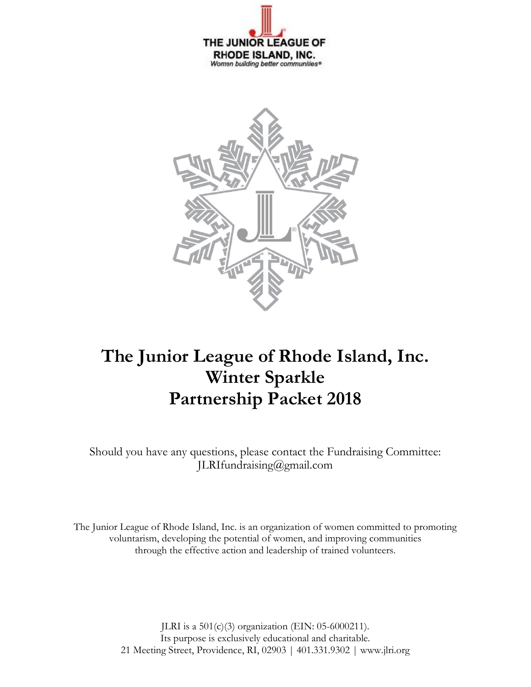



# **The Junior League of Rhode Island, Inc. Winter Sparkle Partnership Packet 2018**

Should you have any questions, please contact the Fundraising Committee: JLRIfundraising@gmail.com

The Junior League of Rhode Island, Inc. is an organization of women committed to promoting voluntarism, developing the potential of women, and improving communities through the effective action and leadership of trained volunteers.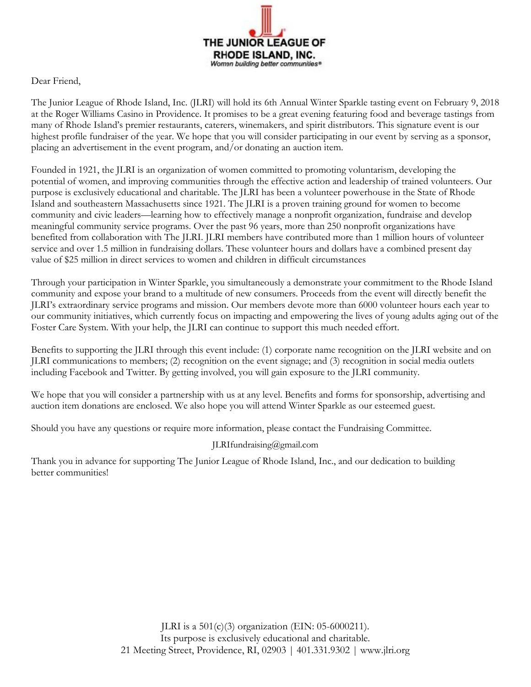

Dear Friend,

The Junior League of Rhode Island, Inc. (JLRI) will hold its 6th Annual Winter Sparkle tasting event on February 9, 2018 at the Roger Williams Casino in Providence. It promises to be a great evening featuring food and beverage tastings from many of Rhode Island's premier restaurants, caterers, winemakers, and spirit distributors. This signature event is our highest profile fundraiser of the year. We hope that you will consider participating in our event by serving as a sponsor, placing an advertisement in the event program, and/or donating an auction item.

Founded in 1921, the JLRI is an organization of women committed to promoting voluntarism, developing the potential of women, and improving communities through the effective action and leadership of trained volunteers. Our purpose is exclusively educational and charitable. The JLRI has been a volunteer powerhouse in the State of Rhode Island and southeastern Massachusetts since 1921. The JLRI is a proven training ground for women to become community and civic leaders—learning how to effectively manage a nonprofit organization, fundraise and develop meaningful community service programs. Over the past 96 years, more than 250 nonprofit organizations have benefited from collaboration with The JLRI. JLRI members have contributed more than 1 million hours of volunteer service and over 1.5 million in fundraising dollars. These volunteer hours and dollars have a combined present day value of \$25 million in direct services to women and children in difficult circumstances

Through your participation in Winter Sparkle, you simultaneously a demonstrate your commitment to the Rhode Island community and expose your brand to a multitude of new consumers. Proceeds from the event will directly benefit the JLRI's extraordinary service programs and mission. Our members devote more than 6000 volunteer hours each year to our community initiatives, which currently focus on impacting and empowering the lives of young adults aging out of the Foster Care System. With your help, the JLRI can continue to support this much needed effort.

Benefits to supporting the JLRI through this event include: (1) corporate name recognition on the JLRI website and on JLRI communications to members; (2) recognition on the event signage; and (3) recognition in social media outlets including Facebook and Twitter. By getting involved, you will gain exposure to the JLRI community.

We hope that you will consider a partnership with us at any level. Benefits and forms for sponsorship, advertising and auction item donations are enclosed. We also hope you will attend Winter Sparkle as our esteemed guest.

Should you have any questions or require more information, please contact the Fundraising Committee.

### JLRIfundraising@gmail.com

Thank you in advance for supporting The Junior League of Rhode Island, Inc., and our dedication to building better communities!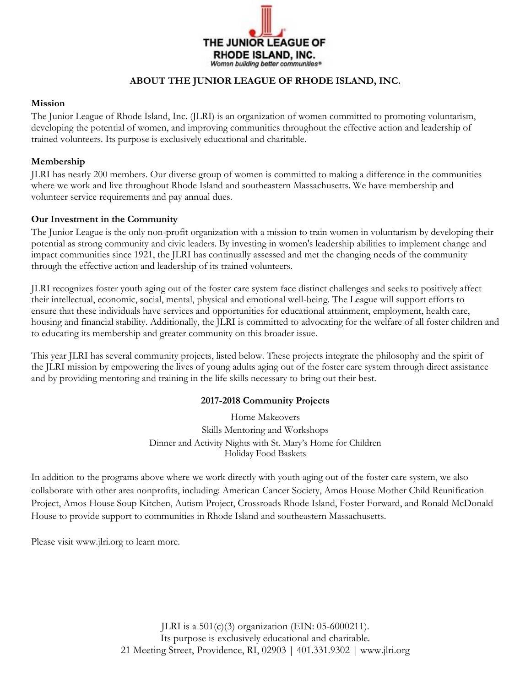

### **ABOUT THE JUNIOR LEAGUE OF RHODE ISLAND, INC.**

#### **Mission**

The Junior League of Rhode Island, Inc. (JLRI) is an organization of women committed to promoting voluntarism, developing the potential of women, and improving communities throughout the effective action and leadership of trained volunteers. Its purpose is exclusively educational and charitable.

#### **Membership**

JLRI has nearly 200 members. Our diverse group of women is committed to making a difference in the communities where we work and live throughout Rhode Island and southeastern Massachusetts. We have membership and volunteer service requirements and pay annual dues.

### **Our Investment in the Community**

The Junior League is the only non-profit organization with a mission to train women in voluntarism by developing their potential as strong community and civic leaders. By investing in women's leadership abilities to implement change and impact communities since 1921, the JLRI has continually assessed and met the changing needs of the community through the effective action and leadership of its trained volunteers.

JLRI recognizes foster youth aging out of the foster care system face distinct challenges and seeks to positively affect their intellectual, economic, social, mental, physical and emotional well-being. The League will support efforts to ensure that these individuals have services and opportunities for educational attainment, employment, health care, housing and financial stability. Additionally, the JLRI is committed to advocating for the welfare of all foster children and to educating its membership and greater community on this broader issue.

This year JLRI has several community projects, listed below. These projects integrate the philosophy and the spirit of the JLRI mission by empowering the lives of young adults aging out of the foster care system through direct assistance and by providing mentoring and training in the life skills necessary to bring out their best.

#### **2017-2018 Community Projects**

Home Makeovers Skills Mentoring and Workshops Dinner and Activity Nights with St. Mary's Home for Children Holiday Food Baskets

In addition to the programs above where we work directly with youth aging out of the foster care system, we also collaborate with other area nonprofits, including: American Cancer Society, Amos House Mother Child Reunification Project, Amos House Soup Kitchen, Autism Project, Crossroads Rhode Island, Foster Forward, and Ronald McDonald House to provide support to communities in Rhode Island and southeastern Massachusetts.

Please visit www.jlri.org to learn more.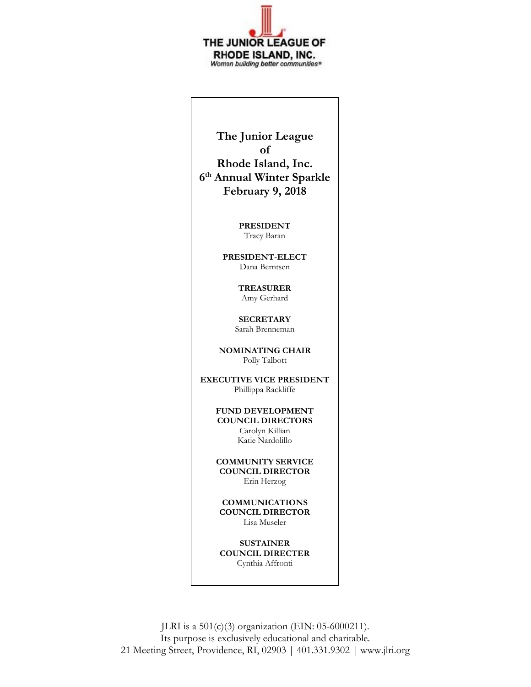

**The Junior League of Rhode Island, Inc. 6 th Annual Winter Sparkle February 9, 2018**

> **PRESIDENT** Tracy Baran

**PRESIDENT-ELECT** Dana Berntsen

> **TREASURER** Amy Gerhard

**SECRETARY** Sarah Brenneman

**NOMINATING CHAIR** Polly Talbott

**EXECUTIVE VICE PRESIDENT** Phillippa Rackliffe

> **FUND DEVELOPMENT COUNCIL DIRECTORS** Carolyn Killian Katie Nardolillo

> **COMMUNITY SERVICE COUNCIL DIRECTOR** Erin Herzog

**COMMUNICATIONS COUNCIL DIRECTOR** Lisa Museler

**SUSTAINER COUNCIL DIRECTER** Cynthia Affronti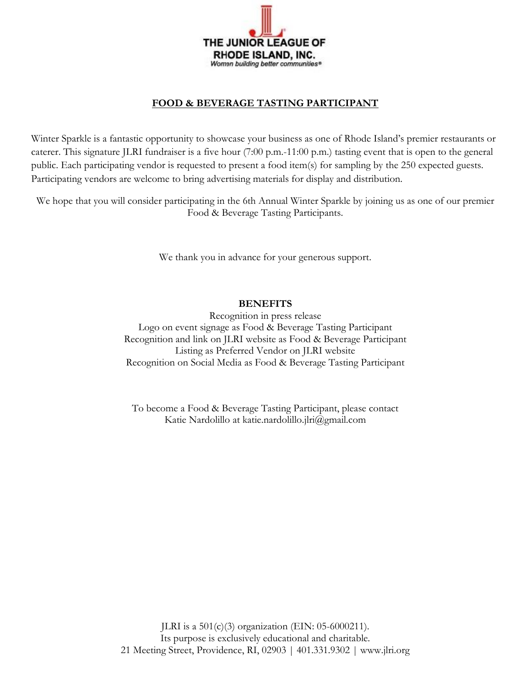

### **FOOD & BEVERAGE TASTING PARTICIPANT**

Winter Sparkle is a fantastic opportunity to showcase your business as one of Rhode Island's premier restaurants or caterer. This signature JLRI fundraiser is a five hour (7:00 p.m.-11:00 p.m.) tasting event that is open to the general public. Each participating vendor is requested to present a food item(s) for sampling by the 250 expected guests. Participating vendors are welcome to bring advertising materials for display and distribution.

We hope that you will consider participating in the 6th Annual Winter Sparkle by joining us as one of our premier Food & Beverage Tasting Participants.

We thank you in advance for your generous support.

### **BENEFITS**

Recognition in press release Logo on event signage as Food & Beverage Tasting Participant Recognition and link on JLRI website as Food & Beverage Participant Listing as Preferred Vendor on JLRI website Recognition on Social Media as Food & Beverage Tasting Participant

To become a Food & Beverage Tasting Participant, please contact Katie Nardolillo at katie.nardolillo.jlri@gmail.com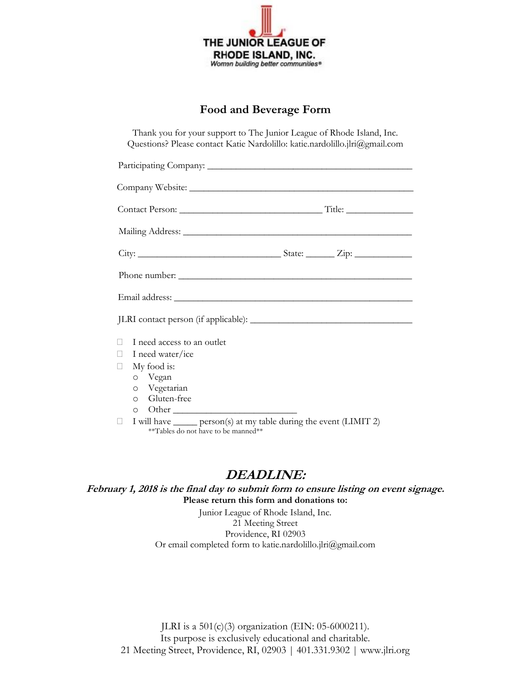

# **Food and Beverage Form**

Thank you for your support to The Junior League of Rhode Island, Inc. Questions? Please contact Katie Nardolillo: katie.nardolillo.jlri@gmail.com

| I need access to an outlet<br>$\mathbb{R}$ |                                                                             |  |  |  |  |  |
|--------------------------------------------|-----------------------------------------------------------------------------|--|--|--|--|--|
| <b>Tale</b>                                | I need water/ice                                                            |  |  |  |  |  |
| $\mathbf{L}$                               | My food is:                                                                 |  |  |  |  |  |
|                                            | 0 Vegan                                                                     |  |  |  |  |  |
|                                            | o Vegetarian                                                                |  |  |  |  |  |
|                                            | o Gluten-free                                                               |  |  |  |  |  |
|                                            |                                                                             |  |  |  |  |  |
|                                            | $\Box$ I will have _______ person(s) at my table during the event (LIMIT 2) |  |  |  |  |  |

\*\*Tables do not have to be manned\*\*

# **DEADLINE:**

**February 1, 2018 is the final day to submit form to ensure listing on event signage. Please return this form and donations to:** 

> Junior League of Rhode Island, Inc. 21 Meeting Street Providence, RI 02903 Or email completed form to katie.nardolillo.jlri@gmail.com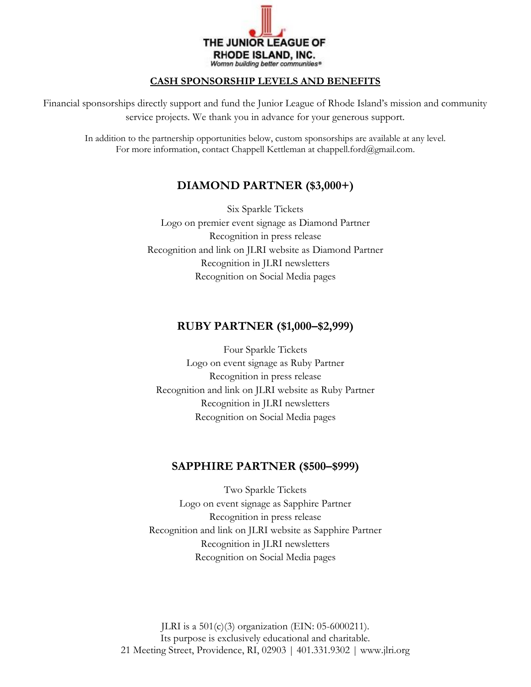

### **CASH SPONSORSHIP LEVELS AND BENEFITS**

Financial sponsorships directly support and fund the Junior League of Rhode Island's mission and community service projects. We thank you in advance for your generous support.

In addition to the partnership opportunities below, custom sponsorships are available at any level. For more information, contact Chappell Kettleman at chappell.ford@gmail.com.

# **DIAMOND PARTNER (\$3,000+)**

Six Sparkle Tickets Logo on premier event signage as Diamond Partner Recognition in press release Recognition and link on JLRI website as Diamond Partner Recognition in JLRI newsletters Recognition on Social Media pages

### **RUBY PARTNER (\$1,000–\$2,999)**

Four Sparkle Tickets Logo on event signage as Ruby Partner Recognition in press release Recognition and link on JLRI website as Ruby Partner Recognition in JLRI newsletters Recognition on Social Media pages

## **SAPPHIRE PARTNER (\$500–\$999)**

Two Sparkle Tickets Logo on event signage as Sapphire Partner Recognition in press release Recognition and link on JLRI website as Sapphire Partner Recognition in JLRI newsletters Recognition on Social Media pages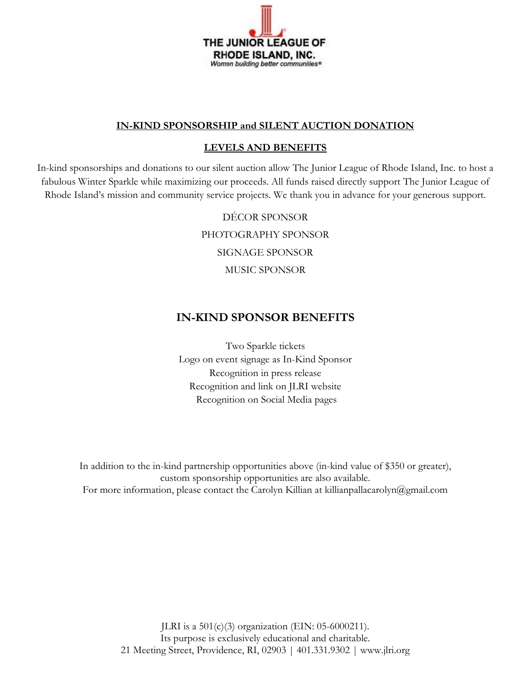

### **IN-KIND SPONSORSHIP and SILENT AUCTION DONATION**

### **LEVELS AND BENEFITS**

In-kind sponsorships and donations to our silent auction allow The Junior League of Rhode Island, Inc. to host a fabulous Winter Sparkle while maximizing our proceeds. All funds raised directly support The Junior League of Rhode Island's mission and community service projects. We thank you in advance for your generous support.

> DÉCOR SPONSOR PHOTOGRAPHY SPONSOR SIGNAGE SPONSOR MUSIC SPONSOR

## **IN-KIND SPONSOR BENEFITS**

Two Sparkle tickets Logo on event signage as In-Kind Sponsor Recognition in press release Recognition and link on JLRI website Recognition on Social Media pages

In addition to the in-kind partnership opportunities above (in-kind value of \$350 or greater), custom sponsorship opportunities are also available. For more information, please contact the Carolyn Killian at killianpallacarolyn@gmail.com